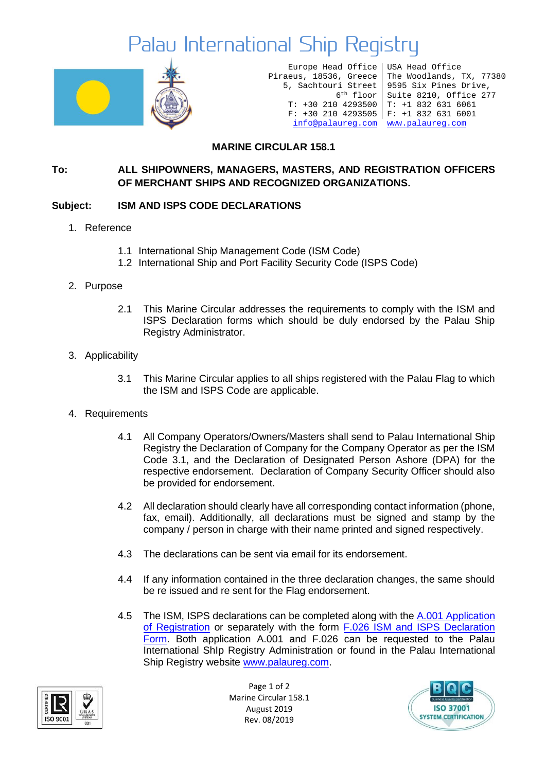## Palau International Ship Registry



Europe Head Office Piraeus, 18536, Greece 5, Sachtouri Street 6th floor T: +30 210 4293500 T: +1 832 631 6061 F: +30 210 4293505 F: +1 832 631 6001 [info@palaureg.com](mailto:info@palaureg.com) [www.palaureg.com](http://www.palaureg.com/)

USA Head Office The Woodlands, TX, 77380 9595 Six Pines Drive, Suite 8210, Office 277

### **MARINE CIRCULAR 158.1**

#### **To: ALL SHIPOWNERS, MANAGERS, MASTERS, AND REGISTRATION OFFICERS OF MERCHANT SHIPS AND RECOGNIZED ORGANIZATIONS.**

#### **Subject: ISM AND ISPS CODE DECLARATIONS**

- 1. Reference
	- 1.1 International Ship Management Code (ISM Code)
	- 1.2 International Ship and Port Facility Security Code (ISPS Code)
- 2. Purpose
	- 2.1 This Marine Circular addresses the requirements to comply with the ISM and ISPS Declaration forms which should be duly endorsed by the Palau Ship Registry Administrator.
- 3. Applicability
	- 3.1 This Marine Circular applies to all ships registered with the Palau Flag to which the ISM and ISPS Code are applicable.
- 4. Requirements
	- 4.1 All Company Operators/Owners/Masters shall send to Palau International Ship Registry the Declaration of Company for the Company Operator as per the ISM Code 3.1, and the Declaration of Designated Person Ashore (DPA) for the respective endorsement. Declaration of Company Security Officer should also be provided for endorsement.
	- 4.2 All declaration should clearly have all corresponding contact information (phone, fax, email). Additionally, all declarations must be signed and stamp by the company / person in charge with their name printed and signed respectively.
	- 4.3 The declarations can be sent via email for its endorsement.
	- 4.4 If any information contained in the three declaration changes, the same should be re issued and re sent for the Flag endorsement.
	- 4.5 The ISM, ISPS declarations can be completed along with the A.001 Application [of Registration](https://www.palaureg.com/product/a001-application-for-registration/) or separately with the form [F.026 ISM and ISPS Declaration](https://www.palaureg.com/product/f026-ism-and-isps-declaration-form/)  [Form.](https://www.palaureg.com/product/f026-ism-and-isps-declaration-form/) Both application A.001 and F.026 can be requested to the Palau International ShIp Registry Administration or found in the Palau International Ship Registry website [www.palaureg.com.](http://www.palaureg.com/)



Page 1 of 2 Marine Circular 158.1 August 2019 Rev. 08/2019